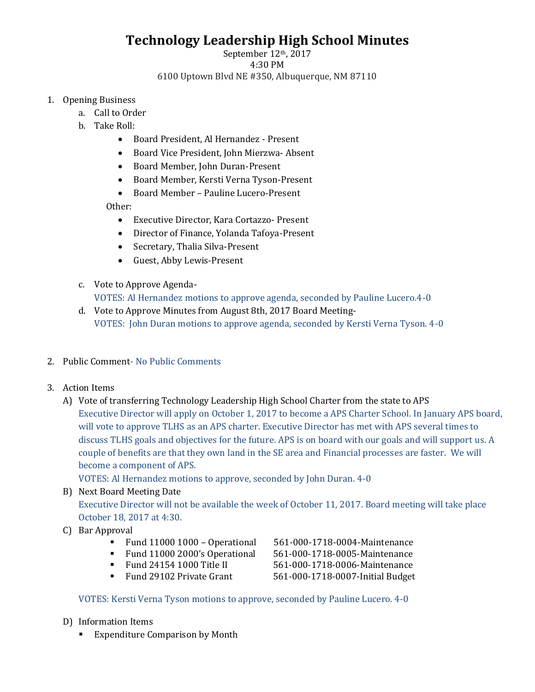## **Technology Leadership High School Minutes**

## September 12th, 2017 4:30 PM 6100 Uptown Blvd NE #350, Albuquerque, NM 87110

- 1. Opening Business
	- a. Call to Order
		- b. Take Roll:
			- Board President, Al Hernandez Present
			- Board Vice President, John Mierzwa- Absent
			- Board Member, John Duran-Present
			- Board Member, Kersti Verna Tyson-Present
			- Board Member Pauline Lucero-Present

Other:

- Executive Director, Kara Cortazzo- Present
- Director of Finance, Yolanda Tafoya-Present
- Secretary, Thalia Silva-Present
- Guest, Abby Lewis-Present
- c. Vote to Approve Agenda-VOTES: Al Hernandez motions to approve agenda, seconded by Pauline Lucero.4-0
- d. Vote to Approve Minutes from August 8th, 2017 Board Meeting-VOTES: John Duran motions to approve agenda, seconded by Kersti Verna Tyson. 4-0
- 2. Public Comment- No Public Comments
- 3. Action Items
	- A) Vote of transferring Technology Leadership High School Charter from the state to APS Executive Director will apply on October 1, 2017 to become a APS Charter School. In January APS board, will vote to approve TLHS as an APS charter. Executive Director has met with APS several times to discuss TLHS goals and objectives for the future. APS is on board with our goals and will support us. A couple of benefits are that they own land in the SE area and Financial processes are faster. We will become a component of APS.

VOTES: Al Hernandez motions to approve, seconded by John Duran. 4-0

- B) Next Board Meeting Date Executive Director will not be available the week of October 11, 2017. Board meeting will take place October 18, 2017 at 4:30.
- C) Bar Approval
	- Fund 11000 1000 Operational 561-000-1718-0004-Maintenance
	- Fund 11000 2000's Operational 561-000-1718-0005-Maintenance
	-

- 
- Fund 29102 Private Grant 561-000-1718-0007-Initial Budget
- Fund 24154 1000 Title II 561-000-1718-0006-Maintenance
	-
- VOTES: Kersti Verna Tyson motions to approve, seconded by Pauline Lucero. 4-0
- D) Information Items
	- Expenditure Comparison by Month